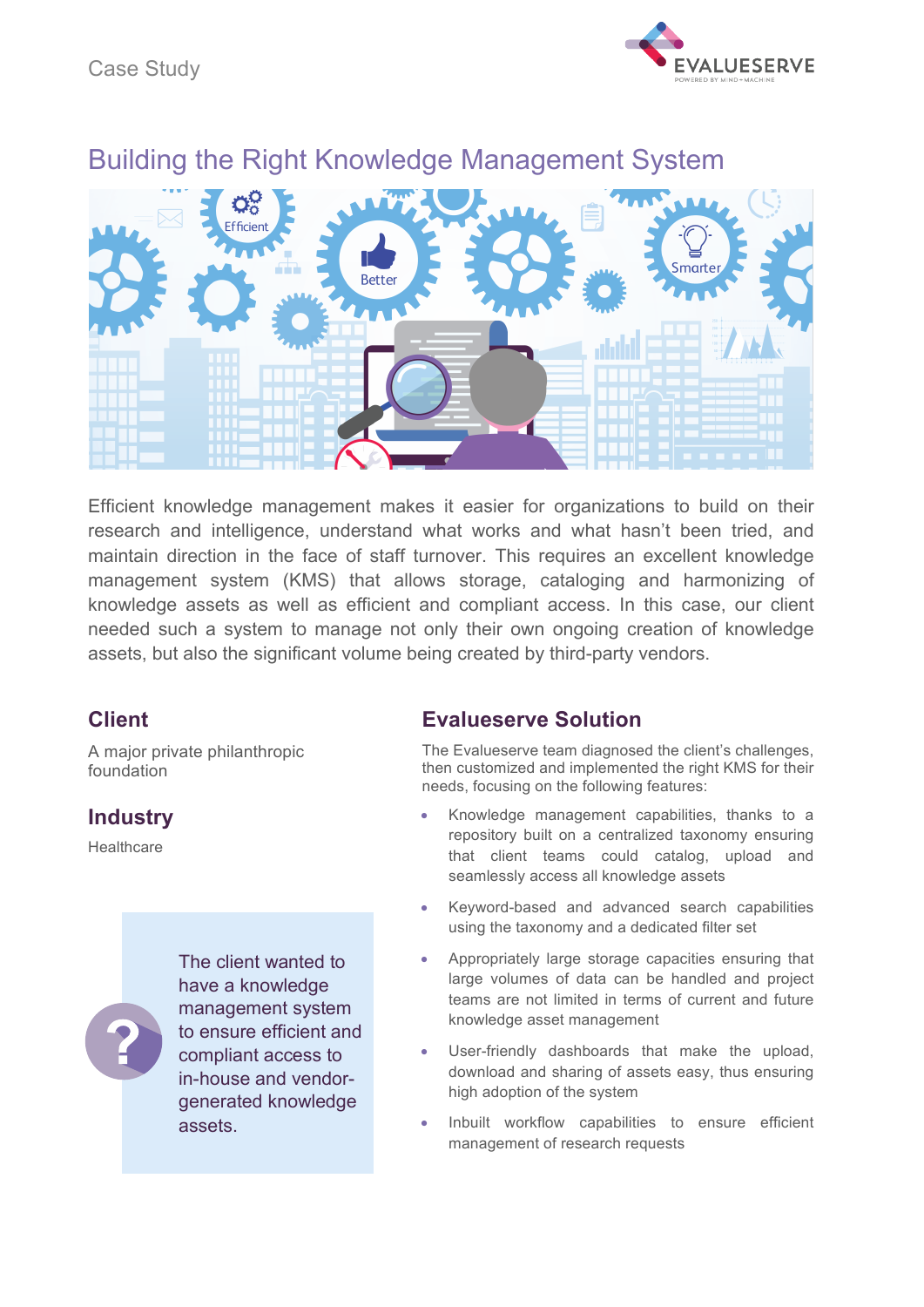



# Building the Right Knowledge Management System

Efficient knowledge management makes it easier for organizations to build on their research and intelligence, understand what works and what hasn't been tried, and maintain direction in the face of staff turnover. This requires an excellent knowledge management system (KMS) that allows storage, cataloging and harmonizing of knowledge assets as well as efficient and compliant access. In this case, our client needed such a system to manage not only their own ongoing creation of knowledge assets, but also the significant volume being created by third-party vendors.

## **Client**

A major private philanthropic foundation

# **Industry**

**Healthcare** 

The client wanted to have a knowledge management system to ensure efficient and compliant access to in-house and vendorgenerated knowledge assets.

# **Evalueserve Solution**

The Evalueserve team diagnosed the client's challenges, then customized and implemented the right KMS for their needs, focusing on the following features:

- Knowledge management capabilities, thanks to a repository built on a centralized taxonomy ensuring that client teams could catalog, upload and seamlessly access all knowledge assets
- Keyword-based and advanced search capabilities using the taxonomy and a dedicated filter set
- Appropriately large storage capacities ensuring that large volumes of data can be handled and project teams are not limited in terms of current and future knowledge asset management
- User-friendly dashboards that make the upload, download and sharing of assets easy, thus ensuring high adoption of the system
- Inbuilt workflow capabilities to ensure efficient management of research requests